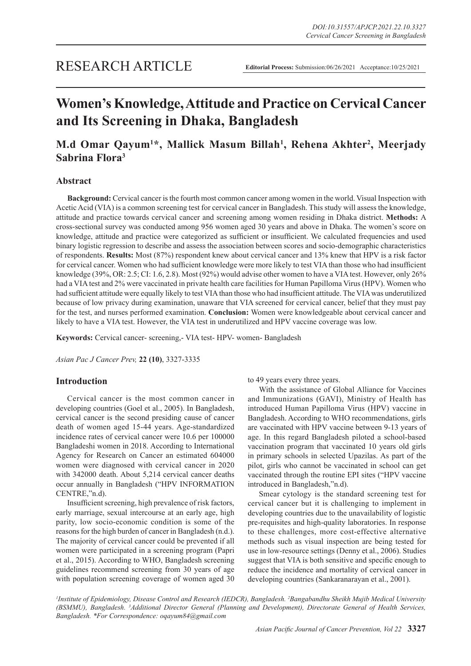# **Women's Knowledge, Attitude and Practice on Cervical Cancer and Its Screening in Dhaka, Bangladesh**

## **M.d Omar Qayum1 \*, Mallick Masum Billah1 , Rehena Akhter2 , Meerjady Sabrina Flora3**

## **Abstract**

**Background:** Cervical cancer is the fourth most common cancer among women in the world. Visual Inspection with Acetic Acid (VIA) is a common screening test for cervical cancer in Bangladesh. This study will assess the knowledge, attitude and practice towards cervical cancer and screening among women residing in Dhaka district. **Methods:** A cross-sectional survey was conducted among 956 women aged 30 years and above in Dhaka. The women's score on knowledge, attitude and practice were categorized as sufficient or insufficient. We calculated frequencies and used binary logistic regression to describe and assess the association between scores and socio-demographic characteristics of respondents. **Results:** Most (87%) respondent knew about cervical cancer and 13% knew that HPV is a risk factor for cervical cancer. Women who had sufficient knowledge were more likely to test VIA than those who had insufficient knowledge (39%, OR: 2.5; CI: 1.6, 2.8). Most (92%) would advise other women to have a VIA test. However, only 26% had a VIA test and 2% were vaccinated in private health care facilities for Human Papilloma Virus (HPV). Women who had sufficient attitude were equally likely to test VIA than those who had insufficient attitude. The VIA was underutilized because of low privacy during examination, unaware that VIA screened for cervical cancer, belief that they must pay for the test, and nurses performed examination. **Conclusion:** Women were knowledgeable about cervical cancer and likely to have a VIA test. However, the VIA test in underutilized and HPV vaccine coverage was low.

**Keywords:** Cervical cancer- screening,- VIA test- HPV- women- Bangladesh

*Asian Pac J Cancer Prev,* **22 (10)**, 3327-3335

## **Introduction**

Cervical cancer is the most common cancer in developing countries (Goel et al., 2005). In Bangladesh, cervical cancer is the second presiding cause of cancer death of women aged 15-44 years. Age-standardized incidence rates of cervical cancer were 10.6 per 100000 Bangladeshi women in 2018. According to International Agency for Research on Cancer an estimated 604000 women were diagnosed with cervical cancer in 2020 with 342000 death. About 5,214 cervical cancer deaths occur annually in Bangladesh ("HPV INFORMATION CENTRE,"n.d).

Insufficient screening, high prevalence of risk factors, early marriage, sexual intercourse at an early age, high parity, low socio-economic condition is some of the reasons for the high burden of cancer in Bangladesh (n.d.). The majority of cervical cancer could be prevented if all women were participated in a screening program (Papri et al., 2015). According to WHO, Bangladesh screening guidelines recommend screening from 30 years of age with population screening coverage of women aged 30 to 49 years every three years.

With the assistance of Global Alliance for Vaccines and Immunizations (GAVI), Ministry of Health has introduced Human Papilloma Virus (HPV) vaccine in Bangladesh. According to WHO recommendations, girls are vaccinated with HPV vaccine between 9-13 years of age. In this regard Bangladesh piloted a school-based vaccination program that vaccinated 10 years old girls in primary schools in selected Upazilas. As part of the pilot, girls who cannot be vaccinated in school can get vaccinated through the routine EPI sites ("HPV vaccine introduced in Bangladesh,"n.d).

Smear cytology is the standard screening test for cervical cancer but it is challenging to implement in developing countries due to the unavailability of logistic pre-requisites and high-quality laboratories. In response to these challenges, more cost-effective alternative methods such as visual inspection are being tested for use in low-resource settings (Denny et al., 2006). Studies suggest that VIA is both sensitive and specific enough to reduce the incidence and mortality of cervical cancer in developing countries (Sankaranarayan et al., 2001).

*1 Institute of Epidemiology, Disease Control and Research (IEDCR), Bangladesh. 2 Bangabandhu Sheikh Mujib Medical University (BSMMU), Bangladesh. 3 Additional Director General (Planning and Development), Directorate General of Health Services, Bangladesh. \*For Correspondence: oqayum84@gmail.com*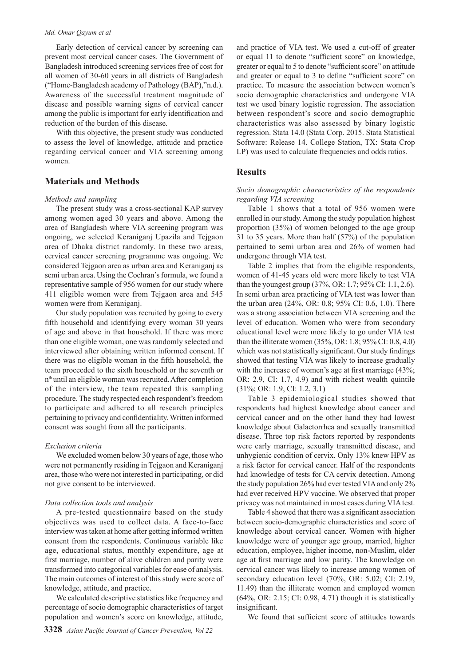#### *Md. Omar Qayum et al*

Early detection of cervical cancer by screening can prevent most cervical cancer cases. The Government of Bangladesh introduced screening services free of cost for all women of 30-60 years in all districts of Bangladesh ("Home-Bangladesh academy of Pathology (BAP),"n.d.). Awareness of the successful treatment magnitude of disease and possible warning signs of cervical cancer among the public is important for early identification and reduction of the burden of this disease.

With this objective, the present study was conducted to assess the level of knowledge, attitude and practice regarding cervical cancer and VIA screening among women.

## **Materials and Methods**

#### *Methods and sampling*

The present study was a cross-sectional KAP survey among women aged 30 years and above. Among the area of Bangladesh where VIA screening program was ongoing, we selected Keraniganj Upazila and Tejgaon area of Dhaka district randomly. In these two areas, cervical cancer screening programme was ongoing. We considered Tejgaon area as urban area and Keraniganj as semi urban area. Using the Cochran's formula, we found a representative sample of 956 women for our study where 411 eligible women were from Tejgaon area and 545 women were from Keraniganj.

Our study population was recruited by going to every fifth household and identifying every woman 30 years of age and above in that household. If there was more than one eligible woman, one was randomly selected and interviewed after obtaining written informed consent. If there was no eligible woman in the fifth household, the team proceeded to the sixth household or the seventh or n<sup>th</sup> until an eligible woman was recruited. After completion of the interview, the team repeated this sampling procedure. The study respected each respondent's freedom to participate and adhered to all research principles pertaining to privacy and confidentiality. Written informed consent was sought from all the participants.

#### *Exclusion criteria*

We excluded women below 30 years of age, those who were not permanently residing in Tejgaon and Keraniganj area, those who were not interested in participating, or did not give consent to be interviewed.

#### *Data collection tools and analysis*

A pre-tested questionnaire based on the study objectives was used to collect data. A face-to-face interview was taken at home after getting informed written consent from the respondents. Continuous variable like age, educational status, monthly expenditure, age at first marriage, number of alive children and parity were transformed into categorical variables for ease of analysis. The main outcomes of interest of this study were score of knowledge, attitude, and practice.

We calculated descriptive statistics like frequency and percentage of socio demographic characteristics of target population and women's score on knowledge, attitude,

and practice of VIA test. We used a cut-off of greater or equal 11 to denote "sufficient score" on knowledge, greater or equal to 5 to denote "sufficient score" on attitude and greater or equal to 3 to define "sufficient score" on practice. To measure the association between women's socio demographic characteristics and undergone VIA test we used binary logistic regression. The association between respondent's score and socio demographic characteristics was also assessed by binary logistic regression. Stata 14.0 (Stata Corp. 2015. Stata Statistical Software: Release 14. College Station, TX: Stata Crop LP) was used to calculate frequencies and odds ratios.

## **Results**

#### *Socio demographic characteristics of the respondents regarding VIA screening*

Table 1 shows that a total of 956 women were enrolled in our study. Among the study population highest proportion (35%) of women belonged to the age group 31 to 35 years. More than half (57%) of the population pertained to semi urban area and 26% of women had undergone through VIA test.

Table 2 implies that from the eligible respondents, women of 41-45 years old were more likely to test VIA than the youngest group (37%, OR: 1.7; 95% CI: 1.1, 2.6). In semi urban area practicing of VIA test was lower than the urban area (24%, OR: 0.8; 95% CI: 0.6, 1.0). There was a strong association between VIA screening and the level of education. Women who were from secondary educational level were more likely to go under VIA test than the illiterate women (35%, OR: 1.8; 95% CI: 0.8, 4.0) which was not statistically significant. Our study findings showed that testing VIA was likely to increase gradually with the increase of women's age at first marriage (43%; OR: 2.9, CI: 1.7, 4.9) and with richest wealth quintile (31%; OR: 1.9, CI: 1.2, 3.1)

Table 3 epidemiological studies showed that respondents had highest knowledge about cancer and cervical cancer and on the other hand they had lowest knowledge about Galactorrhea and sexually transmitted disease. Three top risk factors reported by respondents were early marriage, sexually transmitted disease, and unhygienic condition of cervix. Only 13% knew HPV as a risk factor for cervical cancer. Half of the respondents had knowledge of tests for CA cervix detection. Among the study population 26% had ever tested VIA and only 2% had ever received HPV vaccine. We observed that proper privacy was not maintained in most cases during VIA test.

Table 4 showed that there was a significant association between socio-demographic characteristics and score of knowledge about cervical cancer. Women with higher knowledge were of younger age group, married, higher education, employee, higher income, non-Muslim, older age at first marriage and low parity. The knowledge on cervical cancer was likely to increase among women of secondary education level (70%, OR: 5.02; CI: 2.19, 11.49) than the illiterate women and employed women (64%, OR: 2.15; CI: 0.98, 4.71) though it is statistically insignificant.

We found that sufficient score of attitudes towards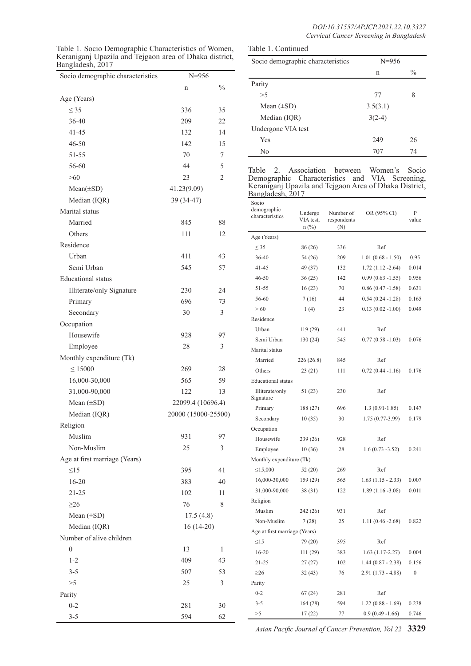| Table 1. Socio Demographic Characteristics of Women,                       | Table 1. Continued                |           |
|----------------------------------------------------------------------------|-----------------------------------|-----------|
| Keraniganj Upazila and Tejgaon area of Dhaka district,<br>Bangladesh, 2017 | Socio demographic characteristics | $N = 956$ |

 $\leq$  35 336 35 36-40 209 22 41-45 132 14 46-50 142 15 51-55 70 7 56-60 44 5  $>60$  23 2  $Mean(\pm SD)$  41.23(9.09)

Age (Years)

Parity

| Socio demographic characteristics | $N = 956$ |               |  |
|-----------------------------------|-----------|---------------|--|
|                                   | n         | $\frac{0}{0}$ |  |
| Parity                            |           |               |  |
| >5                                | 77<br>8   |               |  |
| Mean $(\pm SD)$                   | 3.5(3.1)  |               |  |
| Median (IQR)                      | $3(2-4)$  |               |  |
| Undergone VIA test                |           |               |  |
| Yes                               | 249       | 26            |  |
| N <sub>0</sub>                    | 707       | 74            |  |

Table 2. Association between Women's Socio Demographic Characteristics and VIA Screening, Keraniganj Upazila and Tejgaon Area of Dhaka District, Bangladesh, 2017

| demographic<br>Marital status<br>Number of<br>OR (95% CI)<br>Undergo<br>characteristics<br>VIA test.<br>respondents<br>Married<br>845<br>88<br>$n$ (%)<br>(N)<br>Others<br>111<br>12<br>Age (Years)<br>Residence<br>$\leq$ 35<br>336<br>86 (26)<br>Ref<br>Urban<br>411<br>43<br>36-40<br>$1.01(0.68 - 1.50)$<br>54 (26)<br>209<br>Semi Urban<br>545<br>57<br>41-45<br>49 (37)<br>132<br>$1.72(1.12 - 2.64)$<br>$46 - 50$<br>36(25)<br>142<br>$0.99(0.63 - 1.55)$<br><b>Educational</b> status<br>16(23)<br>70<br>$0.86(0.47 - 1.58)$<br>51-55<br>Illiterate/only Signature<br>230<br>24<br>56-60<br>7(16)<br>$0.54(0.24 - 1.28)$<br>44<br>696<br>73<br>Primary<br>>60<br>$0.13(0.02 - 1.00)$<br>1(4)<br>23<br>30<br>Secondary<br>3<br>Residence<br>Occupation<br>Urban<br>119 (29)<br>441<br>Ref<br>Housewife<br>928<br>97<br>Semi Urban<br>$0.77(0.58 - 1.03)$<br>130(24)<br>545<br>Employee<br>28<br>3<br>Marital status<br>Monthly expenditure (Tk)<br>Married<br>Ref<br>226(26.8)<br>845<br>$\leq 15000$<br>269<br>28<br>Others<br>$0.72(0.44 - 1.16)$<br>23(21)<br>111<br>16,000-30,000<br>565<br>59<br><b>Educational</b> status<br>122<br>Illiterate/only<br>230<br>Ref<br>31,000-90,000<br>13<br>51(23)<br>Signature<br>Mean $(\pm SD)$<br>22099.4 (10696.4)<br>Primary<br>188 (27)<br>696<br>$1.3(0.91-1.85)$<br>Median (IQR)<br>20000 (15000-25500)<br>Secondary<br>10(35)<br>30<br>$1.75(0.77-3.99)$<br>Religion<br>Occupation<br>Muslim<br>931<br>97<br>Housewife<br>239 (26)<br>928<br>Ref<br>Non-Muslim<br>25<br>3<br>Employee<br>28<br>10(36)<br>$1.6(0.73 - 3.52)$<br>Age at first marriage (Years)<br>Monthly expenditure (Tk)<br>$\leq$ 15,000<br>52(20)<br>269<br>Ref<br>$\leq15$<br>395<br>41<br>16,000-30,000<br>159 (29)<br>565<br>$1.63(1.15 - 2.33)$<br>$16 - 20$<br>383<br>40<br>31,000-90,000<br>38(31)<br>122<br>$1.89(1.16 - 3.08)$<br>$21 - 25$<br>102<br>11<br>Religion<br>76<br>8<br>$\geq 26$<br>Muslim<br>931<br>Ref<br>242 (26)<br>Mean $(\pm SD)$<br>17.5(4.8)<br>Non-Muslim<br>7(28)<br>25<br>$1.11(0.46 - 2.68)$<br>Median (IQR)<br>$16(14-20)$<br>Age at first marriage (Years)<br>Number of alive children<br>395<br>Ref<br>$\leq15$<br>79 (20)<br>13<br>$\overline{0}$<br>$\mathbf{1}$<br>$16 - 20$<br>111 (29)<br>383<br>$1.63(1.17-2.27)$<br>$1 - 2$<br>409<br>43<br>$21 - 25$<br>27(27)<br>102<br>$1.44(0.87 - 2.38)$<br>$3 - 5$<br>507<br>53<br>${\geq}26$<br>76<br>32(43)<br>$2.91(1.73 - 4.88)$<br>>5<br>25<br>3<br>Parity<br>$0 - 2$<br>281<br>Ref<br>67(24)<br>Parity<br>$3 - 5$<br>594<br>$1.22(0.88 - 1.69)$<br>164(28)<br>$0 - 2$<br>$30\,$<br>281<br>$0.9(0.49 - 1.66)$<br>$>\!\!5$<br>17(22)<br>77 | Median (IQR) | 39 (34-47) |    | <u>Bangiadesh, 2017</u><br>Socio |  |  |  |                  |
|---------------------------------------------------------------------------------------------------------------------------------------------------------------------------------------------------------------------------------------------------------------------------------------------------------------------------------------------------------------------------------------------------------------------------------------------------------------------------------------------------------------------------------------------------------------------------------------------------------------------------------------------------------------------------------------------------------------------------------------------------------------------------------------------------------------------------------------------------------------------------------------------------------------------------------------------------------------------------------------------------------------------------------------------------------------------------------------------------------------------------------------------------------------------------------------------------------------------------------------------------------------------------------------------------------------------------------------------------------------------------------------------------------------------------------------------------------------------------------------------------------------------------------------------------------------------------------------------------------------------------------------------------------------------------------------------------------------------------------------------------------------------------------------------------------------------------------------------------------------------------------------------------------------------------------------------------------------------------------------------------------------------------------------------------------------------------------------------------------------------------------------------------------------------------------------------------------------------------------------------------------------------------------------------------------------------------------------------------------------------------------------------------------------------------------------------------------------------------------------------------------------------------------------------------------------------------------------------------------------------------------------------------------|--------------|------------|----|----------------------------------|--|--|--|------------------|
|                                                                                                                                                                                                                                                                                                                                                                                                                                                                                                                                                                                                                                                                                                                                                                                                                                                                                                                                                                                                                                                                                                                                                                                                                                                                                                                                                                                                                                                                                                                                                                                                                                                                                                                                                                                                                                                                                                                                                                                                                                                                                                                                                                                                                                                                                                                                                                                                                                                                                                                                                                                                                                                         |              |            |    |                                  |  |  |  | P                |
|                                                                                                                                                                                                                                                                                                                                                                                                                                                                                                                                                                                                                                                                                                                                                                                                                                                                                                                                                                                                                                                                                                                                                                                                                                                                                                                                                                                                                                                                                                                                                                                                                                                                                                                                                                                                                                                                                                                                                                                                                                                                                                                                                                                                                                                                                                                                                                                                                                                                                                                                                                                                                                                         |              |            |    |                                  |  |  |  | value            |
|                                                                                                                                                                                                                                                                                                                                                                                                                                                                                                                                                                                                                                                                                                                                                                                                                                                                                                                                                                                                                                                                                                                                                                                                                                                                                                                                                                                                                                                                                                                                                                                                                                                                                                                                                                                                                                                                                                                                                                                                                                                                                                                                                                                                                                                                                                                                                                                                                                                                                                                                                                                                                                                         |              |            |    |                                  |  |  |  |                  |
|                                                                                                                                                                                                                                                                                                                                                                                                                                                                                                                                                                                                                                                                                                                                                                                                                                                                                                                                                                                                                                                                                                                                                                                                                                                                                                                                                                                                                                                                                                                                                                                                                                                                                                                                                                                                                                                                                                                                                                                                                                                                                                                                                                                                                                                                                                                                                                                                                                                                                                                                                                                                                                                         |              |            |    |                                  |  |  |  |                  |
|                                                                                                                                                                                                                                                                                                                                                                                                                                                                                                                                                                                                                                                                                                                                                                                                                                                                                                                                                                                                                                                                                                                                                                                                                                                                                                                                                                                                                                                                                                                                                                                                                                                                                                                                                                                                                                                                                                                                                                                                                                                                                                                                                                                                                                                                                                                                                                                                                                                                                                                                                                                                                                                         |              |            |    |                                  |  |  |  | 0.95             |
|                                                                                                                                                                                                                                                                                                                                                                                                                                                                                                                                                                                                                                                                                                                                                                                                                                                                                                                                                                                                                                                                                                                                                                                                                                                                                                                                                                                                                                                                                                                                                                                                                                                                                                                                                                                                                                                                                                                                                                                                                                                                                                                                                                                                                                                                                                                                                                                                                                                                                                                                                                                                                                                         |              |            |    |                                  |  |  |  | 0.014            |
|                                                                                                                                                                                                                                                                                                                                                                                                                                                                                                                                                                                                                                                                                                                                                                                                                                                                                                                                                                                                                                                                                                                                                                                                                                                                                                                                                                                                                                                                                                                                                                                                                                                                                                                                                                                                                                                                                                                                                                                                                                                                                                                                                                                                                                                                                                                                                                                                                                                                                                                                                                                                                                                         |              |            |    |                                  |  |  |  | 0.956            |
|                                                                                                                                                                                                                                                                                                                                                                                                                                                                                                                                                                                                                                                                                                                                                                                                                                                                                                                                                                                                                                                                                                                                                                                                                                                                                                                                                                                                                                                                                                                                                                                                                                                                                                                                                                                                                                                                                                                                                                                                                                                                                                                                                                                                                                                                                                                                                                                                                                                                                                                                                                                                                                                         |              |            |    |                                  |  |  |  | 0.631            |
|                                                                                                                                                                                                                                                                                                                                                                                                                                                                                                                                                                                                                                                                                                                                                                                                                                                                                                                                                                                                                                                                                                                                                                                                                                                                                                                                                                                                                                                                                                                                                                                                                                                                                                                                                                                                                                                                                                                                                                                                                                                                                                                                                                                                                                                                                                                                                                                                                                                                                                                                                                                                                                                         |              |            |    |                                  |  |  |  | 0.165            |
|                                                                                                                                                                                                                                                                                                                                                                                                                                                                                                                                                                                                                                                                                                                                                                                                                                                                                                                                                                                                                                                                                                                                                                                                                                                                                                                                                                                                                                                                                                                                                                                                                                                                                                                                                                                                                                                                                                                                                                                                                                                                                                                                                                                                                                                                                                                                                                                                                                                                                                                                                                                                                                                         |              |            |    |                                  |  |  |  | 0.049            |
|                                                                                                                                                                                                                                                                                                                                                                                                                                                                                                                                                                                                                                                                                                                                                                                                                                                                                                                                                                                                                                                                                                                                                                                                                                                                                                                                                                                                                                                                                                                                                                                                                                                                                                                                                                                                                                                                                                                                                                                                                                                                                                                                                                                                                                                                                                                                                                                                                                                                                                                                                                                                                                                         |              |            |    |                                  |  |  |  |                  |
|                                                                                                                                                                                                                                                                                                                                                                                                                                                                                                                                                                                                                                                                                                                                                                                                                                                                                                                                                                                                                                                                                                                                                                                                                                                                                                                                                                                                                                                                                                                                                                                                                                                                                                                                                                                                                                                                                                                                                                                                                                                                                                                                                                                                                                                                                                                                                                                                                                                                                                                                                                                                                                                         |              |            |    |                                  |  |  |  |                  |
|                                                                                                                                                                                                                                                                                                                                                                                                                                                                                                                                                                                                                                                                                                                                                                                                                                                                                                                                                                                                                                                                                                                                                                                                                                                                                                                                                                                                                                                                                                                                                                                                                                                                                                                                                                                                                                                                                                                                                                                                                                                                                                                                                                                                                                                                                                                                                                                                                                                                                                                                                                                                                                                         |              |            |    |                                  |  |  |  | 0.076            |
|                                                                                                                                                                                                                                                                                                                                                                                                                                                                                                                                                                                                                                                                                                                                                                                                                                                                                                                                                                                                                                                                                                                                                                                                                                                                                                                                                                                                                                                                                                                                                                                                                                                                                                                                                                                                                                                                                                                                                                                                                                                                                                                                                                                                                                                                                                                                                                                                                                                                                                                                                                                                                                                         |              |            |    |                                  |  |  |  |                  |
|                                                                                                                                                                                                                                                                                                                                                                                                                                                                                                                                                                                                                                                                                                                                                                                                                                                                                                                                                                                                                                                                                                                                                                                                                                                                                                                                                                                                                                                                                                                                                                                                                                                                                                                                                                                                                                                                                                                                                                                                                                                                                                                                                                                                                                                                                                                                                                                                                                                                                                                                                                                                                                                         |              |            |    |                                  |  |  |  |                  |
|                                                                                                                                                                                                                                                                                                                                                                                                                                                                                                                                                                                                                                                                                                                                                                                                                                                                                                                                                                                                                                                                                                                                                                                                                                                                                                                                                                                                                                                                                                                                                                                                                                                                                                                                                                                                                                                                                                                                                                                                                                                                                                                                                                                                                                                                                                                                                                                                                                                                                                                                                                                                                                                         |              |            |    |                                  |  |  |  | 0.176            |
|                                                                                                                                                                                                                                                                                                                                                                                                                                                                                                                                                                                                                                                                                                                                                                                                                                                                                                                                                                                                                                                                                                                                                                                                                                                                                                                                                                                                                                                                                                                                                                                                                                                                                                                                                                                                                                                                                                                                                                                                                                                                                                                                                                                                                                                                                                                                                                                                                                                                                                                                                                                                                                                         |              |            |    |                                  |  |  |  |                  |
|                                                                                                                                                                                                                                                                                                                                                                                                                                                                                                                                                                                                                                                                                                                                                                                                                                                                                                                                                                                                                                                                                                                                                                                                                                                                                                                                                                                                                                                                                                                                                                                                                                                                                                                                                                                                                                                                                                                                                                                                                                                                                                                                                                                                                                                                                                                                                                                                                                                                                                                                                                                                                                                         |              |            |    |                                  |  |  |  |                  |
|                                                                                                                                                                                                                                                                                                                                                                                                                                                                                                                                                                                                                                                                                                                                                                                                                                                                                                                                                                                                                                                                                                                                                                                                                                                                                                                                                                                                                                                                                                                                                                                                                                                                                                                                                                                                                                                                                                                                                                                                                                                                                                                                                                                                                                                                                                                                                                                                                                                                                                                                                                                                                                                         |              |            |    |                                  |  |  |  | 0.147            |
|                                                                                                                                                                                                                                                                                                                                                                                                                                                                                                                                                                                                                                                                                                                                                                                                                                                                                                                                                                                                                                                                                                                                                                                                                                                                                                                                                                                                                                                                                                                                                                                                                                                                                                                                                                                                                                                                                                                                                                                                                                                                                                                                                                                                                                                                                                                                                                                                                                                                                                                                                                                                                                                         |              |            |    |                                  |  |  |  | 0.179            |
|                                                                                                                                                                                                                                                                                                                                                                                                                                                                                                                                                                                                                                                                                                                                                                                                                                                                                                                                                                                                                                                                                                                                                                                                                                                                                                                                                                                                                                                                                                                                                                                                                                                                                                                                                                                                                                                                                                                                                                                                                                                                                                                                                                                                                                                                                                                                                                                                                                                                                                                                                                                                                                                         |              |            |    |                                  |  |  |  |                  |
|                                                                                                                                                                                                                                                                                                                                                                                                                                                                                                                                                                                                                                                                                                                                                                                                                                                                                                                                                                                                                                                                                                                                                                                                                                                                                                                                                                                                                                                                                                                                                                                                                                                                                                                                                                                                                                                                                                                                                                                                                                                                                                                                                                                                                                                                                                                                                                                                                                                                                                                                                                                                                                                         |              |            |    |                                  |  |  |  |                  |
|                                                                                                                                                                                                                                                                                                                                                                                                                                                                                                                                                                                                                                                                                                                                                                                                                                                                                                                                                                                                                                                                                                                                                                                                                                                                                                                                                                                                                                                                                                                                                                                                                                                                                                                                                                                                                                                                                                                                                                                                                                                                                                                                                                                                                                                                                                                                                                                                                                                                                                                                                                                                                                                         |              |            |    |                                  |  |  |  | 0.241            |
|                                                                                                                                                                                                                                                                                                                                                                                                                                                                                                                                                                                                                                                                                                                                                                                                                                                                                                                                                                                                                                                                                                                                                                                                                                                                                                                                                                                                                                                                                                                                                                                                                                                                                                                                                                                                                                                                                                                                                                                                                                                                                                                                                                                                                                                                                                                                                                                                                                                                                                                                                                                                                                                         |              |            |    |                                  |  |  |  |                  |
|                                                                                                                                                                                                                                                                                                                                                                                                                                                                                                                                                                                                                                                                                                                                                                                                                                                                                                                                                                                                                                                                                                                                                                                                                                                                                                                                                                                                                                                                                                                                                                                                                                                                                                                                                                                                                                                                                                                                                                                                                                                                                                                                                                                                                                                                                                                                                                                                                                                                                                                                                                                                                                                         |              |            |    |                                  |  |  |  |                  |
|                                                                                                                                                                                                                                                                                                                                                                                                                                                                                                                                                                                                                                                                                                                                                                                                                                                                                                                                                                                                                                                                                                                                                                                                                                                                                                                                                                                                                                                                                                                                                                                                                                                                                                                                                                                                                                                                                                                                                                                                                                                                                                                                                                                                                                                                                                                                                                                                                                                                                                                                                                                                                                                         |              |            |    |                                  |  |  |  | 0.007            |
|                                                                                                                                                                                                                                                                                                                                                                                                                                                                                                                                                                                                                                                                                                                                                                                                                                                                                                                                                                                                                                                                                                                                                                                                                                                                                                                                                                                                                                                                                                                                                                                                                                                                                                                                                                                                                                                                                                                                                                                                                                                                                                                                                                                                                                                                                                                                                                                                                                                                                                                                                                                                                                                         |              |            |    |                                  |  |  |  | 0.011            |
|                                                                                                                                                                                                                                                                                                                                                                                                                                                                                                                                                                                                                                                                                                                                                                                                                                                                                                                                                                                                                                                                                                                                                                                                                                                                                                                                                                                                                                                                                                                                                                                                                                                                                                                                                                                                                                                                                                                                                                                                                                                                                                                                                                                                                                                                                                                                                                                                                                                                                                                                                                                                                                                         |              |            |    |                                  |  |  |  |                  |
|                                                                                                                                                                                                                                                                                                                                                                                                                                                                                                                                                                                                                                                                                                                                                                                                                                                                                                                                                                                                                                                                                                                                                                                                                                                                                                                                                                                                                                                                                                                                                                                                                                                                                                                                                                                                                                                                                                                                                                                                                                                                                                                                                                                                                                                                                                                                                                                                                                                                                                                                                                                                                                                         |              |            |    |                                  |  |  |  |                  |
|                                                                                                                                                                                                                                                                                                                                                                                                                                                                                                                                                                                                                                                                                                                                                                                                                                                                                                                                                                                                                                                                                                                                                                                                                                                                                                                                                                                                                                                                                                                                                                                                                                                                                                                                                                                                                                                                                                                                                                                                                                                                                                                                                                                                                                                                                                                                                                                                                                                                                                                                                                                                                                                         |              |            |    |                                  |  |  |  | 0.822            |
|                                                                                                                                                                                                                                                                                                                                                                                                                                                                                                                                                                                                                                                                                                                                                                                                                                                                                                                                                                                                                                                                                                                                                                                                                                                                                                                                                                                                                                                                                                                                                                                                                                                                                                                                                                                                                                                                                                                                                                                                                                                                                                                                                                                                                                                                                                                                                                                                                                                                                                                                                                                                                                                         |              |            |    |                                  |  |  |  |                  |
|                                                                                                                                                                                                                                                                                                                                                                                                                                                                                                                                                                                                                                                                                                                                                                                                                                                                                                                                                                                                                                                                                                                                                                                                                                                                                                                                                                                                                                                                                                                                                                                                                                                                                                                                                                                                                                                                                                                                                                                                                                                                                                                                                                                                                                                                                                                                                                                                                                                                                                                                                                                                                                                         |              |            |    |                                  |  |  |  |                  |
|                                                                                                                                                                                                                                                                                                                                                                                                                                                                                                                                                                                                                                                                                                                                                                                                                                                                                                                                                                                                                                                                                                                                                                                                                                                                                                                                                                                                                                                                                                                                                                                                                                                                                                                                                                                                                                                                                                                                                                                                                                                                                                                                                                                                                                                                                                                                                                                                                                                                                                                                                                                                                                                         |              |            |    |                                  |  |  |  | 0.004            |
|                                                                                                                                                                                                                                                                                                                                                                                                                                                                                                                                                                                                                                                                                                                                                                                                                                                                                                                                                                                                                                                                                                                                                                                                                                                                                                                                                                                                                                                                                                                                                                                                                                                                                                                                                                                                                                                                                                                                                                                                                                                                                                                                                                                                                                                                                                                                                                                                                                                                                                                                                                                                                                                         |              |            |    |                                  |  |  |  | 0.156            |
|                                                                                                                                                                                                                                                                                                                                                                                                                                                                                                                                                                                                                                                                                                                                                                                                                                                                                                                                                                                                                                                                                                                                                                                                                                                                                                                                                                                                                                                                                                                                                                                                                                                                                                                                                                                                                                                                                                                                                                                                                                                                                                                                                                                                                                                                                                                                                                                                                                                                                                                                                                                                                                                         |              |            |    |                                  |  |  |  | $\boldsymbol{0}$ |
|                                                                                                                                                                                                                                                                                                                                                                                                                                                                                                                                                                                                                                                                                                                                                                                                                                                                                                                                                                                                                                                                                                                                                                                                                                                                                                                                                                                                                                                                                                                                                                                                                                                                                                                                                                                                                                                                                                                                                                                                                                                                                                                                                                                                                                                                                                                                                                                                                                                                                                                                                                                                                                                         |              |            |    |                                  |  |  |  |                  |
|                                                                                                                                                                                                                                                                                                                                                                                                                                                                                                                                                                                                                                                                                                                                                                                                                                                                                                                                                                                                                                                                                                                                                                                                                                                                                                                                                                                                                                                                                                                                                                                                                                                                                                                                                                                                                                                                                                                                                                                                                                                                                                                                                                                                                                                                                                                                                                                                                                                                                                                                                                                                                                                         |              |            |    |                                  |  |  |  |                  |
|                                                                                                                                                                                                                                                                                                                                                                                                                                                                                                                                                                                                                                                                                                                                                                                                                                                                                                                                                                                                                                                                                                                                                                                                                                                                                                                                                                                                                                                                                                                                                                                                                                                                                                                                                                                                                                                                                                                                                                                                                                                                                                                                                                                                                                                                                                                                                                                                                                                                                                                                                                                                                                                         |              |            |    |                                  |  |  |  | 0.238            |
|                                                                                                                                                                                                                                                                                                                                                                                                                                                                                                                                                                                                                                                                                                                                                                                                                                                                                                                                                                                                                                                                                                                                                                                                                                                                                                                                                                                                                                                                                                                                                                                                                                                                                                                                                                                                                                                                                                                                                                                                                                                                                                                                                                                                                                                                                                                                                                                                                                                                                                                                                                                                                                                         | $3 - 5$      | 594        | 62 |                                  |  |  |  | 0.746            |

Socio demographic characteristics N=956

n %

*Asian Pacific Journal of Cancer Prevention, Vol 22* **3329**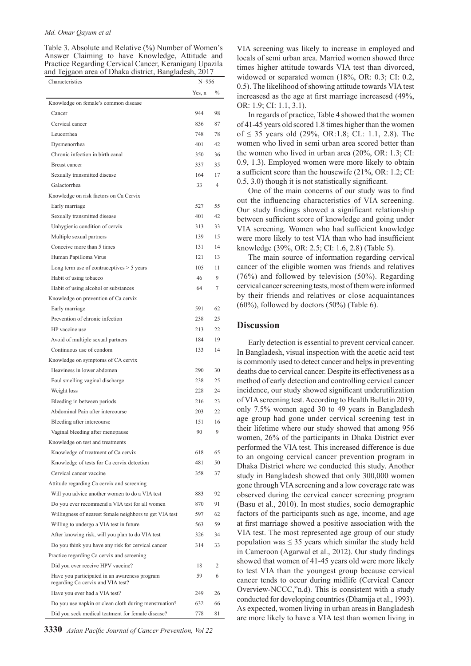#### *Md. Omar Qayum et al*

Table 3. Absolute and Relative (%) Number of Women's Answer Claiming to have Knowledge, Attitude and Practice Regarding Cervical Cancer, Keraniganj Upazila and Tejgaon area of Dhaka district, Bangladesh, 2017

Characteristics N=956

|                                                                                    | Yes, n | $\%$           |
|------------------------------------------------------------------------------------|--------|----------------|
| Knowledge on female's common disease                                               |        |                |
| Cancer                                                                             | 944    | 98             |
| Cervical cancer                                                                    | 836    | 87             |
| Leucorrhea                                                                         | 748    | 78             |
| Dysmenorrhea                                                                       | 401    | 42             |
| Chronic infection in birth canal                                                   | 350    | 36             |
| Breast cancer                                                                      | 337    | 35             |
| Sexually transmitted disease                                                       | 164    | 17             |
| Galactorrhea                                                                       | 33     | $\overline{4}$ |
| Knowledge on risk factors on Ca Cervix                                             |        |                |
| Early marriage                                                                     | 527    | 55             |
| Sexually transmitted disease                                                       | 401    | 42             |
| Unhygienic condition of cervix                                                     | 313    | 33             |
| Multiple sexual partners                                                           | 139    | 15             |
| Conceive more than 5 times                                                         | 131    | 14             |
| Human Papilloma Virus                                                              | 121    | 13             |
| Long term use of contraceptives > 5 years                                          | 105    | 11             |
| Habit of using tobacco                                                             | 46     | 9              |
| Habit of using alcohol or substances                                               | 64     | 7              |
| Knowledge on prevention of Ca cervix                                               |        |                |
| Early marriage                                                                     | 591    | 62             |
| Prevention of chronic infection                                                    | 238    | 25             |
| HP vaccine use                                                                     | 213    | 22             |
| Avoid of multiple sexual partners                                                  | 184    | 19             |
| Continuous use of condom                                                           | 133    | 14             |
| Knowledge on symptoms of CA cervix                                                 |        |                |
| Heaviness in lower abdomen                                                         | 290    | 30             |
| Foul smelling vaginal discharge                                                    | 238    | 25             |
| Weight loss                                                                        | 228    | 24             |
| Bleeding in between periods                                                        | 216    | 23             |
| Abdominal Pain after intercourse                                                   | 203    | 22             |
| Bleeding after intercourse                                                         | 151    | 16             |
| Vaginal bleeding after menopause                                                   | 90     | 9              |
| Knowledge on test and treatments                                                   |        |                |
| Knowledge of treatment of Ca cervix                                                | 618    | 65             |
| Knowledge of tests for Ca cervix detection                                         | 481    | 50             |
| Cervical cancer vaccine                                                            | 358    | 37             |
| Attitude regarding Ca cervix and screening                                         |        |                |
| Will you advice another women to do a VIA test                                     | 883    | 92             |
| Do you ever recommend a VIA test for all women                                     | 870    | 91             |
| Willingness of nearest female neighbors to get VIA test                            | 597    | 62             |
| Willing to undergo a VIA test in future                                            | 563    | 59             |
| After knowing risk, will you plan to do VIA test                                   | 326    | 34             |
| Do you think you have any risk for cervical cancer                                 | 314    | 33             |
| Practice regarding Ca cervix and screening                                         |        |                |
| Did you ever receive HPV vaccine?                                                  | 18     | 2              |
| Have you participated in an awareness program<br>regarding Ca cervix and VIA test? | 59     | 6              |
| Have you ever had a VIA test?                                                      | 249    | 26             |
| Do you use napkin or clean cloth during menstruation?                              | 632    | 66             |
| Did you seek medical teatment for female disease?                                  | 778    | 81             |

VIA screening was likely to increase in employed and locals of semi urban area. Married women showed three times higher attitude towards VIA test than divorced, widowed or separated women (18%, OR: 0.3; CI: 0.2, 0.5). The likelihood of showing attitude towards VIA test increasesd as the age at first marriage increasesd (49%, OR: 1.9; CI: 1.1, 3.1).

In regards of practice, Table 4 showed that the women of 41-45 years old scored 1.8 times higher than the women of ≤ 35 years old  $(29%, OR:1.8; CL: 1.1, 2.8)$ . The women who lived in semi urban area scored better than the women who lived in urban area (20%, OR: 1.3; CI: 0.9, 1.3). Employed women were more likely to obtain a sufficient score than the housewife (21%, OR: 1.2; CI: 0.5, 3.0) though it is not statistically significant.

One of the main concerns of our study was to find out the influencing characteristics of VIA screening. Our study findings showed a significant relationship between sufficient score of knowledge and going under VIA screening. Women who had sufficient knowledge were more likely to test VIA than who had insufficient knowledge (39%, OR: 2.5; CI: 1.6, 2.8) (Table 5).

The main source of information regarding cervical cancer of the eligible women was friends and relatives (76%) and followed by television (50%). Regarding cervical cancer screening tests, most of them were informed by their friends and relatives or close acquaintances  $(60\%)$ , followed by doctors  $(50\%)$  (Table 6).

#### **Discussion**

Early detection is essential to prevent cervical cancer. In Bangladesh, visual inspection with the acetic acid test is commonly used to detect cancer and helps in preventing deaths due to cervical cancer. Despite its effectiveness as a method of early detection and controlling cervical cancer incidence, our study showed significant underutilization of VIA screening test. According to Health Bulletin 2019, only 7.5% women aged 30 to 49 years in Bangladesh age group had gone under cervical screening test in their lifetime where our study showed that among 956 women, 26% of the participants in Dhaka District ever performed the VIA test. This increased difference is due to an ongoing cervical cancer prevention program in Dhaka District where we conducted this study. Another study in Bangladesh showed that only 300,000 women gone through VIA screening and a low coverage rate was observed during the cervical cancer screening program (Basu et al., 2010). In most studies, socio demographic factors of the participants such as age, income, and age at first marriage showed a positive association with the VIA test. The most represented age group of our study population was  $\leq$  35 years which similar the study held in Cameroon (Agarwal et al., 2012). Our study findings showed that women of 41-45 years old were more likely to test VIA than the youngest group because cervical cancer tends to occur during midlife (Cervical Cancer Overview-NCCC,"n.d). This is consistent with a study conducted for developing countries (Dhamija et al., 1993). As expected, women living in urban areas in Bangladesh are more likely to have a VIA test than women living in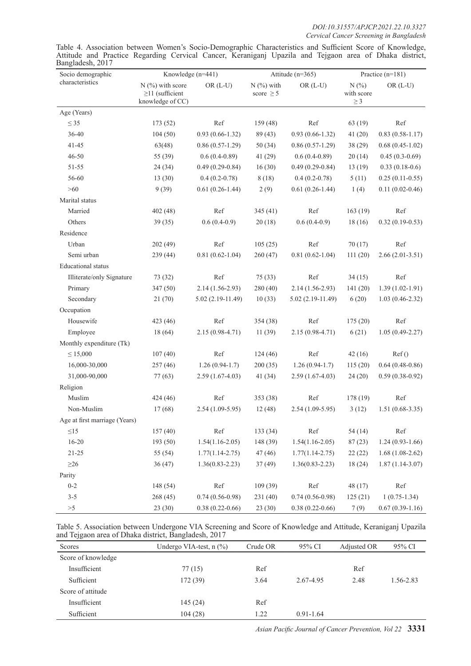Table 4. Association between Women's Socio-Demographic Characteristics and Sufficient Score of Knowledge, Attitude and Practice Regarding Cervical Cancer, Keraniganj Upazila and Tejgaon area of Dhaka district, Bangladesh, 2017

| Socio demographic             | Knowledge (n=441)                                               |                     | Attitude (n=365)               |                     |                               | Practice (n=181)    |
|-------------------------------|-----------------------------------------------------------------|---------------------|--------------------------------|---------------------|-------------------------------|---------------------|
| characteristics               | $N$ (%) with score<br>$\geq$ 11 (sufficient<br>knowledge of CC) | $OR$ (L-U)          | $N$ (%) with<br>score $\geq$ 5 | $OR (L-U)$          | N(%<br>with score<br>$\geq 3$ | $OR (L-U)$          |
| Age (Years)                   |                                                                 |                     |                                |                     |                               |                     |
| $\leq$ 35                     | 173(52)                                                         | Ref                 | 159 (48)                       | Ref                 | 63(19)                        | Ref                 |
| 36-40                         | 104(50)                                                         | $0.93(0.66 - 1.32)$ | 89 (43)                        | $0.93(0.66 - 1.32)$ | 41(20)                        | $0.83(0.58-1.17)$   |
| 41-45                         | 63(48)                                                          | $0.86(0.57-1.29)$   | 50(34)                         | $0.86(0.57-1.29)$   | 38(29)                        | $0.68(0.45-1.02)$   |
| $46 - 50$                     | 55 (39)                                                         | $0.6(0.4-0.89)$     | 41(29)                         | $0.6(0.4-0.89)$     | 20(14)                        | $0.45(0.3-0.69)$    |
| 51-55                         | 24 (34)                                                         | $0.49(0.29-0.84)$   | 16(30)                         | $0.49(0.29-0.84)$   | 13(19)                        | $0.33(0.18-0.6)$    |
| 56-60                         | 13(30)                                                          | $0.4(0.2-0.78)$     | 8(18)                          | $0.4(0.2-0.78)$     | 5(11)                         | $0.25(0.11-0.55)$   |
| $>60$                         | 9(39)                                                           | $0.61(0.26-1.44)$   | 2(9)                           | $0.61(0.26-1.44)$   | 1(4)                          | $0.11(0.02 - 0.46)$ |
| Marital status                |                                                                 |                     |                                |                     |                               |                     |
| Married                       | 402(48)                                                         | Ref                 | 345(41)                        | Ref                 | 163(19)                       | Ref                 |
| Others                        | 39(35)                                                          | $0.6(0.4-0.9)$      | 20(18)                         | $0.6(0.4-0.9)$      | 18(16)                        | $0.32(0.19-0.53)$   |
| Residence                     |                                                                 |                     |                                |                     |                               |                     |
| Urban                         | 202(49)                                                         | Ref                 | 105(25)                        | Ref                 | 70(17)                        | Ref                 |
| Semi urban                    | 239(44)                                                         | $0.81(0.62 - 1.04)$ | 260 (47)                       | $0.81(0.62 - 1.04)$ | 111(20)                       | $2.66(2.01-3.51)$   |
| <b>Educational</b> status     |                                                                 |                     |                                |                     |                               |                     |
| Illiterate/only Signature     | 73 (32)                                                         | Ref                 | 75 (33)                        | Ref                 | 34(15)                        | Ref                 |
| Primary                       | 347 (50)                                                        | $2.14(1.56-2.93)$   | 280 (40)                       | $2.14(1.56-2.93)$   | 141(20)                       | $1.39(1.02 - 1.91)$ |
| Secondary                     | 21 (70)                                                         | $5.02(2.19-11.49)$  | 10(33)                         | $5.02(2.19-11.49)$  | 6(20)                         | $1.03(0.46-2.32)$   |
| Occupation                    |                                                                 |                     |                                |                     |                               |                     |
| Housewife                     | 423 (46)                                                        | Ref                 | 354 (38)                       | Ref                 | 175(20)                       | Ref                 |
| Employee                      | 18 (64)                                                         | $2.15(0.98-4.71)$   | 11(39)                         | $2.15(0.98-4.71)$   | 6(21)                         | $1.05(0.49-2.27)$   |
| Monthly expenditure (Tk)      |                                                                 |                     |                                |                     |                               |                     |
| $\leq 15,000$                 | 107(40)                                                         | Ref                 | 124(46)                        | Ref                 | 42(16)                        | Ref()               |
| 16,000-30,000                 | 257(46)                                                         | $1.26(0.94-1.7)$    | 200(35)                        | $1.26(0.94-1.7)$    | 115(20)                       | $0.64(0.48-0.86)$   |
| 31,000-90,000                 | 77 (63)                                                         | $2.59(1.67-4.03)$   | 41(34)                         | $2.59(1.67-4.03)$   | 24(20)                        | $0.59(0.38-0.92)$   |
| Religion                      |                                                                 |                     |                                |                     |                               |                     |
| Muslim                        | 424 (46)                                                        | Ref                 | 353 (38)                       | Ref                 | 178 (19)                      | Ref                 |
| Non-Muslim                    | 17(68)                                                          | $2.54(1.09-5.95)$   | 12(48)                         | $2.54(1.09-5.95)$   | 3(12)                         | $1.51(0.68-3.35)$   |
| Age at first marriage (Years) |                                                                 |                     |                                |                     |                               |                     |
| $\leq15$                      | 157(40)                                                         | Ref                 | 133 (34)                       | Ref                 | 54(14)                        | Ref                 |
| $16 - 20$                     | 193 (50)                                                        | $1.54(1.16-2.05)$   | 148 (39)                       | $1.54(1.16-2.05)$   | 87(23)                        | $1.24(0.93-1.66)$   |
| $21 - 25$                     | 55 (54)                                                         | $1.77(1.14 - 2.75)$ | 47(46)                         | $1.77(1.14 - 2.75)$ | 22(22)                        | $1.68(1.08-2.62)$   |
| $\geq$ 26                     | 36(47)                                                          | $1.36(0.83 - 2.23)$ | 37(49)                         | $1.36(0.83 - 2.23)$ | 18(24)                        | $1.87(1.14-3.07)$   |
| Parity                        |                                                                 |                     |                                |                     |                               |                     |
| $0 - 2$                       | 148 (54)                                                        | Ref                 | 109(39)                        | Ref                 | 48 (17)                       | Ref                 |
| $3 - 5$                       | 268(45)                                                         | $0.74(0.56-0.98)$   | 231 (40)                       | $0.74(0.56-0.98)$   | 125(21)                       | $1(0.75-1.34)$      |
| >5                            | 23 (30)                                                         | $0.38(0.22 - 0.66)$ | 23(30)                         | $0.38(0.22 - 0.66)$ | 7(9)                          | $0.67(0.39-1.16)$   |

| Table 5. Association between Undergone VIA Screening and Score of Knowledge and Attitude, Keraniganj Upazila |  |  |  |
|--------------------------------------------------------------------------------------------------------------|--|--|--|
| and Tejgaon area of Dhaka district, Bangladesh, 2017                                                         |  |  |  |

| Scores             | Undergo VIA-test, $n$ $\left(\frac{9}{6}\right)$ | Crude OR | 95% CI        | Adjusted OR | 95% CI    |
|--------------------|--------------------------------------------------|----------|---------------|-------------|-----------|
| Score of knowledge |                                                  |          |               |             |           |
| Insufficient       | 77(15)                                           | Ref      |               | Ref         |           |
| Sufficient         | 172(39)                                          | 3.64     | 2.67-4.95     | 2.48        | 1.56-2.83 |
| Score of attitude  |                                                  |          |               |             |           |
| Insufficient       | 145(24)                                          | Ref      |               |             |           |
| Sufficient         | 104(28)                                          | 1.22     | $0.91 - 1.64$ |             |           |

*Asian Pacific Journal of Cancer Prevention, Vol 22* **3331**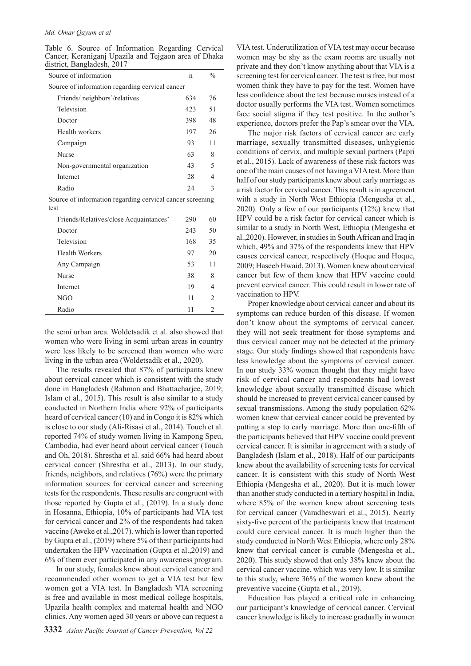Table 6. Source of Information Regarding Cervical Cancer, Keraniganj Upazila and Tejgaon area of Dhaka district, Bangladesh, 2017

| Source of information                           | n   | $\frac{0}{0}$ |
|-------------------------------------------------|-----|---------------|
| Source of information regarding cervical cancer |     |               |
| Friends/neighbors'/relatives                    | 634 | 76            |
| Television                                      | 423 | 51            |
| Doctor                                          | 398 | 48            |
| Health workers                                  | 197 | 26            |
| Campaign                                        | 93  | 11            |
| <b>Nurse</b>                                    | 63  | 8             |
| Non-governmental organization                   | 43  | 5             |
| Internet                                        | 28  | 4             |
| Radio                                           | 24  | 3             |
|                                                 |     |               |

Source of information regarding cervical cancer screening test

| Friends/Relatives/close Acquaintances' | 290 | 60             |  |
|----------------------------------------|-----|----------------|--|
| Doctor                                 | 243 | 50             |  |
| Television                             | 168 | 35             |  |
| <b>Health Workers</b>                  | 97  | 20             |  |
| Any Campaign                           | 53  | 11             |  |
| Nurse                                  | 38  | 8              |  |
| Internet                               | 19  | 4              |  |
| NGO                                    | 11  | $\mathfrak{D}$ |  |
| Radio                                  | 11  | $\mathfrak{D}$ |  |

the semi urban area. Woldetsadik et al. also showed that women who were living in semi urban areas in country were less likely to be screened than women who were living in the urban area (Woldetsadik et al., 2020).

The results revealed that 87% of participants knew about cervical cancer which is consistent with the study done in Bangladesh (Rahman and Bhattacharjee, 2019; Islam et al., 2015). This result is also similar to a study conducted in Northern India where 92% of participants heard of cervical cancer (10) and in Congo it is 82% which is close to our study (Ali-Risasi et al., 2014). Touch et al. reported 74% of study women living in Kampong Speu, Cambodia, had ever heard about cervical cancer (Touch and Oh, 2018). Shrestha et al. said 66% had heard about cervical cancer (Shrestha et al., 2013). In our study, friends, neighbors, and relatives (76%) were the primary information sources for cervical cancer and screening tests for the respondents. These results are congruent with those reported by Gupta et al., (2019). In a study done in Hosanna, Ethiopia, 10% of participants had VIA test for cervical cancer and 2% of the respondents had taken vaccine (Aweke et al.,2017). which is lower than reported by Gupta et al., (2019) where 5% of their participants had undertaken the HPV vaccination (Gupta et al.,2019) and 6% of them ever participated in any awareness program.

In our study, females knew about cervical cancer and recommended other women to get a VIA test but few women got a VIA test. In Bangladesh VIA screening is free and available in most medical college hospitals, Upazila health complex and maternal health and NGO clinics. Any women aged 30 years or above can request a

VIA test. Underutilization of VIA test may occur because women may be shy as the exam rooms are usually not private and they don't know anything about that VIA is a screening test for cervical cancer. The test is free, but most women think they have to pay for the test. Women have less confidence about the test because nurses instead of a doctor usually performs the VIA test. Women sometimes face social stigma if they test positive. In the author's experience, doctors prefer the Pap's smear over the VIA.

The major risk factors of cervical cancer are early marriage, sexually transmitted diseases, unhygienic conditions of cervix, and multiple sexual partners (Papri et al., 2015). Lack of awareness of these risk factors was one of the main causes of not having a VIA test. More than half of our study participants knew about early marriage as a risk factor for cervical cancer. This result is in agreement with a study in North West Ethiopia (Mengesha et al., 2020). Only a few of our participants (12%) knew that HPV could be a risk factor for cervical cancer which is similar to a study in North West, Ethiopia (Mengesha et al.,2020). However, in studies in South African and Iraq in which, 49% and 37% of the respondents knew that HPV causes cervical cancer, respectively (Hoque and Hoque, 2009; Haseeb Hwaid, 2013). Women knew about cervical cancer but few of them knew that HPV vaccine could prevent cervical cancer. This could result in lower rate of vaccination to HPV.

Proper knowledge about cervical cancer and about its symptoms can reduce burden of this disease. If women don't know about the symptoms of cervical cancer, they will not seek treatment for those symptoms and thus cervical cancer may not be detected at the primary stage. Our study findings showed that respondents have less knowledge about the symptoms of cervical cancer. In our study 33% women thought that they might have risk of cervical cancer and respondents had lowest knowledge about sexually transmitted disease which should be increased to prevent cervical cancer caused by sexual transmissions. Among the study population 62% women knew that cervical cancer could be prevented by putting a stop to early marriage. More than one-fifth of the participants believed that HPV vaccine could prevent cervical cancer. It is similar in agreement with a study of Bangladesh (Islam et al., 2018). Half of our participants knew about the availability of screening tests for cervical cancer. It is consistent with this study of North West Ethiopia (Mengesha et al., 2020). But it is much lower than another study conducted in a tertiary hospital in India, where 85% of the women knew about screening tests for cervical cancer (Varadheswari et al., 2015). Nearly sixty-five percent of the participants knew that treatment could cure cervical cancer. It is much higher than the study conducted in North West Ethiopia, where only 28% knew that cervical cancer is curable (Mengesha et al., 2020). This study showed that only 38% knew about the cervical cancer vaccine, which was very low. It is similar to this study, where 36% of the women knew about the preventive vaccine (Gupta et al., 2019).

Education has played a critical role in enhancing our participant's knowledge of cervical cancer. Cervical cancer knowledge is likely to increase gradually in women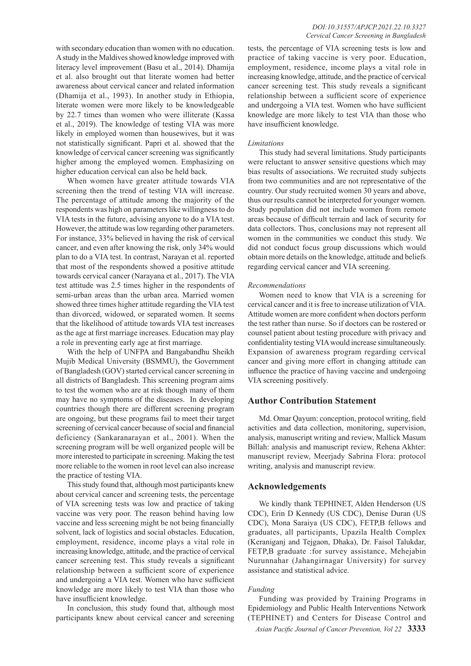with secondary education than women with no education. A study in the Maldives showed knowledge improved with literacy level improvement (Basu et al., 2014). Dhamija et al. also brought out that literate women had better awareness about cervical cancer and related information (Dhamija et al., 1993). In another study in Ethiopia, literate women were more likely to be knowledgeable by 22.7 times than women who were illiterate (Kassa et al., 2019). The knowledge of testing VIA was more likely in employed women than housewives, but it was not statistically significant. Papri et al. showed that the knowledge of cervical cancer screening was significantly higher among the employed women. Emphasizing on higher education cervical can also be held back.

When women have greater attitude towards VIA screening then the trend of testing VIA will increase. The percentage of attitude among the majority of the respondents was high on parameters like willingness to do VIA tests in the future, advising anyone to do a VIA test. However, the attitude was low regarding other parameters. For instance, 33% believed in having the risk of cervical cancer, and even after knowing the risk, only 34% would plan to do a VIA test. In contrast, Narayan et al. reported that most of the respondents showed a positive attitude towards cervical cancer (Narayana et al., 2017). The VIA test attitude was 2.5 times higher in the respondents of semi-urban areas than the urban area. Married women showed three times higher attitude regarding the VIA test than divorced, widowed, or separated women. It seems that the likelihood of attitude towards VIA test increases as the age at first marriage increases. Education may play a role in preventing early age at first marriage.

With the help of UNFPA and Bangabandhu Sheikh Mujib Medical University (BSMMU), the Government of Bangladesh (GOV) started cervical cancer screening in all districts of Bangladesh. This screening program aims to test the women who are at risk though many of them may have no symptoms of the diseases. In developing countries though there are different screening program are ongoing, but these programs fail to meet their target screening of cervical cancer because of social and financial deficiency (Sankaranarayan et al., 2001). When the screening program will be well organized people will be more interested to participate in screening. Making the test more reliable to the women in root level can also increase the practice of testing VIA.

This study found that, although most participants knew about cervical cancer and screening tests, the percentage of VIA screening tests was low and practice of taking vaccine was very poor. The reason behind having low vaccine and less screening might be not being financially solvent, lack of logistics and social obstacles. Education, employment, residence, income plays a vital role in increasing knowledge, attitude, and the practice of cervical cancer screening test. This study reveals a significant relationship between a sufficient score of experience and undergoing a VIA test. Women who have sufficient knowledge are more likely to test VIA than those who have insufficient knowledge.

In conclusion, this study found that, although most participants knew about cervical cancer and screening

tests, the percentage of VIA screening tests is low and practice of taking vaccine is very poor. Education, employment, residence, income plays a vital role in increasing knowledge, attitude, and the practice of cervical cancer screening test. This study reveals a significant relationship between a sufficient score of experience and undergoing a VIA test. Women who have sufficient knowledge are more likely to test VIA than those who have insufficient knowledge.

#### *Limitations*

This study had several limitations. Study participants were reluctant to answer sensitive questions which may bias results of associations. We recruited study subjects from two communities and are not representative of the country. Our study recruited women 30 years and above, thus our results cannot be interpreted for younger women. Study population did not include women from remote areas because of difficult terrain and lack of security for data collectors. Thus, conclusions may not represent all women in the communities we conduct this study. We did not conduct focus group discussions which would obtain more details on the knowledge, attitude and beliefs regarding cervical cancer and VIA screening.

#### *Recommendations*

Women need to know that VIA is a screening for cervical cancer and it is free to increase utilization of VIA. Attitude women are more confident when doctors perform the test rather than nurse. So if doctors can be rostered or counsel patient about testing procedure with privacy and confidentiality testing VIA would increase simultaneously. Expansion of awareness program regarding cervical cancer and giving more effort in changing attitude can influence the practice of having vaccine and undergoing VIA screening positively.

## **Author Contribution Statement**

Md. Omar Qayum: conception, protocol writing, field activities and data collection, monitoring, supervision, analysis, manuscript writing and review, Mallick Masum Billah: analysis and manuscript review, Rehena Akhter: manuscript review, Meerjady Sabrina Flora: protocol writing, analysis and manuscript review.

## **Acknowledgements**

We kindly thank TEPHINET, Alden Henderson (US CDC), Erin D Kennedy (US CDC), Denise Duran (US CDC), Mona Saraiya (US CDC), FETP,B fellows and graduates, all participants, Upazila Health Complex (Keraniganj and Tejgaon, Dhaka), Dr. Faisol Talukdar, FETP,B graduate :for survey assistance, Mehejabin Nurunnahar (Jahangirnagar University) for survey assistance and statistical advice.

#### *Funding*

Funding was provided by Training Programs in Epidemiology and Public Health Interventions Network (TEPHINET) and Centers for Disease Control and

*Asian Pacific Journal of Cancer Prevention, Vol 22* **3333**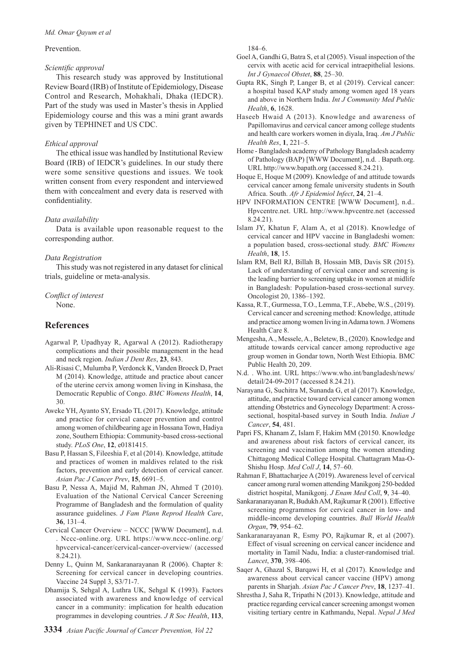Prevention.

## *Scientific approval*

This research study was approved by Institutional Review Board (IRB) of Institute of Epidemiology, Disease Control and Research, Mohakhali, Dhaka (IEDCR). Part of the study was used in Master's thesis in Applied Epidemiology course and this was a mini grant awards given by TEPHINET and US CDC.

## *Ethical approval*

The ethical issue was handled by Institutional Review Board (IRB) of IEDCR's guidelines. In our study there were some sensitive questions and issues. We took written consent from every respondent and interviewed them with concealment and every data is reserved with confidentiality.

## *Data availability*

Data is available upon reasonable request to the corresponding author.

## *Data Registration*

This study was not registered in any dataset for clinical trials, guideline or meta-analysis.

## *Conflict of interest*

None.

## **References**

- Agarwal P, Upadhyay R, Agarwal A (2012). Radiotherapy complications and their possible management in the head and neck region. *Indian J Dent Res*, **23**, 843.
- Ali-Risasi C, Mulumba P, Verdonck K, Vanden Broeck D, Praet M (2014). Knowledge, attitude and practice about cancer of the uterine cervix among women living in Kinshasa, the Democratic Republic of Congo. *BMC Womens Health*, **14**, 30.
- Aweke YH, Ayanto SY, Ersado TL (2017). Knowledge, attitude and practice for cervical cancer prevention and control among women of childbearing age in Hossana Town, Hadiya zone, Southern Ethiopia: Community-based cross-sectional study. *PLoS One*, **12**, e0181415.
- Basu P, Hassan S, Fileeshia F, et al (2014). Knowledge, attitude and practices of women in maldives related to the risk factors, prevention and early detection of cervical cancer. *Asian Pac J Cancer Prev*, **15**, 6691–5.
- Basu P, Nessa A, Majid M, Rahman JN, Ahmed T (2010). Evaluation of the National Cervical Cancer Screening Programme of Bangladesh and the formulation of quality assurance guidelines. *J Fam Plann Reprod Health Care*, **36**, 131–4.
- Cervical Cancer Overview NCCC [WWW Document], n.d. . Nccc-online.org. URL https://www.nccc-online.org/ hpvcervical-cancer/cervical-cancer-overview/ (accessed 8.24.21).
- Denny L, Quinn M, Sankaranarayanan R (2006). Chapter 8: Screening for cervical cancer in developing countries. Vaccine 24 Suppl 3, S3/71-7.
- Dhamija S, Sehgal A, Luthra UK, Sehgal K (1993). Factors associated with awareness and knowledge of cervical cancer in a community: implication for health education programmes in developing countries. *J R Soc Health*, **113**,

184–6.

- Goel A, Gandhi G, Batra S, et al (2005). Visual inspection of the cervix with acetic acid for cervical intraepithelial lesions. *Int J Gynaecol Obstet*, **88**, 25–30.
- Gupta RK, Singh P, Langer B, et al (2019). Cervical cancer: a hospital based KAP study among women aged 18 years and above in Northern India. *Int J Community Med Public Health*, **6**, 1628.
- Haseeb Hwaid A (2013). Knowledge and awareness of Papillomavirus and cervical cancer among college students and health care workers women in diyala, Iraq. *Am J Public Health Res*, **1**, 221–5.
- Home Bangladesh academy of Pathology Bangladesh academy of Pathology (BAP) [WWW Document], n.d. . Bapath.org. URL http://www.bapath.org (accessed 8.24.21).
- Hoque E, Hoque M (2009). Knowledge of and attitude towards cervical cancer among female university students in South Africa. South. *Afr J Epidemiol Infect*, **24**, 21–4.
- HPV INFORMATION CENTRE [WWW Document], n.d.. Hpvcentre.net. URL http://www.hpvcentre.net (accessed 8.24.21).
- Islam JY, Khatun F, Alam A, et al (2018). Knowledge of cervical cancer and HPV vaccine in Bangladeshi women: a population based, cross-sectional study. *BMC Womens Health*, **18**, 15.
- Islam RM, Bell RJ, Billah B, Hossain MB, Davis SR (2015). Lack of understanding of cervical cancer and screening is the leading barrier to screening uptake in women at midlife in Bangladesh: Population-based cross-sectional survey. Oncologist 20, 1386–1392.
- Kassa, R.T., Gurmessa, T.O., Lemma, T.F., Abebe, W.S., (2019). Cervical cancer and screening method: Knowledge, attitude and practice among women living in Adama town. J Womens Health Care 8.
- Mengesha, A., Messele, A., Beletew, B., (2020). Knowledge and attitude towards cervical cancer among reproductive age group women in Gondar town, North West Ethiopia. BMC Public Health 20, 209.
- N.d. . Who.int. URL https://www.who.int/bangladesh/news/ detail/24-09-2017 (accessed 8.24.21).
- Narayana G, Suchitra M, Sunanda G, et al (2017). Knowledge, attitude, and practice toward cervical cancer among women attending Obstetrics and Gynecology Department: A crosssectional, hospital-based survey in South India. *Indian J Cancer*, **54**, 481.
- Papri FS, Khanam Z, Islam F, Hakim MM (20150. Knowledge and awareness about risk factors of cervical cancer, its screening and vaccination among the women attending Chittagong Medical College Hospital. Chattagram Maa-O-Shishu Hosp. *Med Coll J*, **14**, 57–60.
- Rahman F, Bhattacharjee A (2019). Awareness level of cervical cancer among rural women attending Manikgonj 250-bedded district hospital, Manikgonj. *J Enam Med Coll*, **9**, 34–40.
- Sankaranarayanan R, Budukh AM, Rajkumar R (2001). Effective screening programmes for cervical cancer in low- and middle-income developing countries. *Bull World Health Organ*, **79**, 954–62.
- Sankaranarayanan R, Esmy PO, Rajkumar R, et al (2007). Effect of visual screening on cervical cancer incidence and mortality in Tamil Nadu, India: a cluster-randomised trial. *Lancet*, **370**, 398–406.
- Saqer A, Ghazal S, Barqawi H, et al (2017). Knowledge and awareness about cervical cancer vaccine (HPV) among parents in Sharjah. *Asian Pac J Cancer Prev*, **18**, 1237–41.
- Shrestha J, Saha R, Tripathi N (2013). Knowledge, attitude and practice regarding cervical cancer screening amongst women visiting tertiary centre in Kathmandu, Nepal. *Nepal J Med*